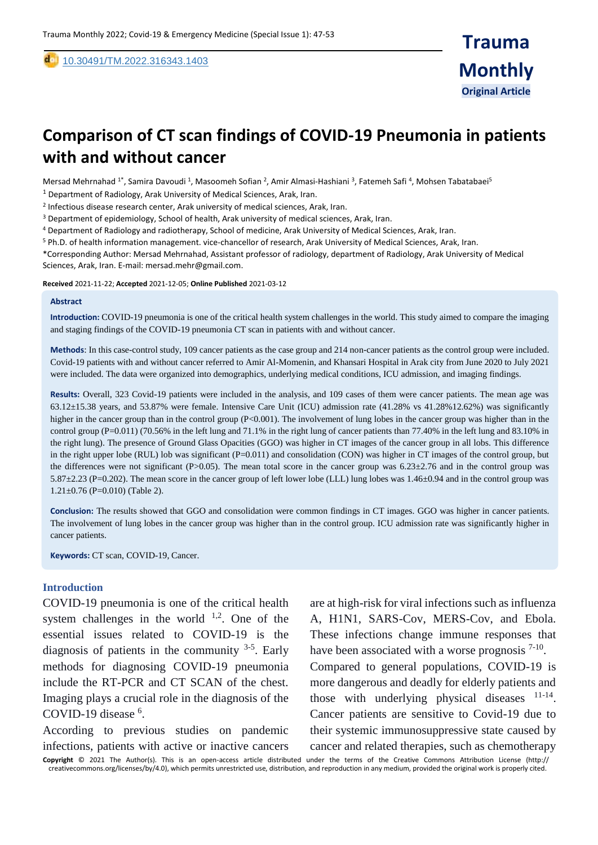[10.30491/TM.2022.316343.1403](https://dx.doi.org/10.30491/tm.2021.264991.1218)

# **Comparison of CT scan findings of COVID-19 Pneumonia in patients with and without cancer**

Mersad Mehrnahad <sup>1\*</sup>, Samira Davoudi <sup>1</sup>, Masoomeh Sofian <sup>2</sup>, Amir Almasi-Hashiani <sup>3</sup>, Fatemeh Safi <sup>4</sup>, Mohsen Tabatabaei<sup>5</sup>

 $<sup>1</sup>$  Department of Radiology, Arak University of Medical Sciences, Arak, Iran.</sup>

<sup>2</sup> Infectious disease research center, Arak university of medical sciences, Arak, Iran.

 $3$  Department of epidemiology, School of health, Arak university of medical sciences, Arak, Iran.

<sup>4</sup> Department of Radiology and radiotherapy, School of medicine, Arak University of Medical Sciences, Arak, Iran.

<sup>5</sup> Ph.D. of health information management. vice-chancellor of research, Arak University of Medical Sciences, Arak, Iran.

\*Corresponding Author: Mersad Mehrnahad, Assistant professor of radiology, department of Radiology, Arak University of Medical Sciences, Arak, Iran. E-mail: mersad.mehr@gmail.com.

**Received** 2021-11-22; **Accepted** 2021-12-05; **Online Published** 2021-03-12

#### **Abstract**

,

**Introduction:** COVID-19 pneumonia is one of the critical health system challenges in the world. This study aimed to compare the imaging and staging findings of the COVID-19 pneumonia CT scan in patients with and without cancer.

**Methods**: In this case-control study, 109 cancer patients as the case group and 214 non-cancer patients as the control group were included. Covid-19 patients with and without cancer referred to Amir Al-Momenin, and Khansari Hospital in Arak city from June 2020 to July 2021 were included. The data were organized into demographics, underlying medical conditions, ICU admission, and imaging findings.

**Results:** Overall, 323 Covid-19 patients were included in the analysis, and 109 cases of them were cancer patients. The mean age was 63.12±15.38 years, and 53.87% were female. Intensive Care Unit (ICU) admission rate (41.28% vs 41.28%12.62%) was significantly higher in the cancer group than in the control group (P<0.001). The involvement of lung lobes in the cancer group was higher than in the control group (P=0.011) (70.56% in the left lung and 71.1% in the right lung of cancer patients than 77.40% in the left lung and 83.10% in the right lung). The presence of Ground Glass Opacities (GGO) was higher in CT images of the cancer group in all lobs. This difference in the right upper lobe (RUL) lob was significant (P=0.011) and consolidation (CON) was higher in CT images of the control group, but the differences were not significant (P>0.05). The mean total score in the cancer group was  $6.23\pm2.76$  and in the control group was 5.87±2.23 (P=0.202). The mean score in the cancer group of left lower lobe (LLL) lung lobes was 1.46±0.94 and in the control group was  $1.21 \pm 0.76$  (P=0.010) (Table 2).

**Conclusion:** The results showed that GGO and consolidation were common findings in CT images. GGO was higher in cancer patients. The involvement of lung lobes in the cancer group was higher than in the control group. ICU admission rate was significantly higher in cancer patients.

**Keywords:** CT scan, COVID-19, Cancer.

## **Introduction**

COVID-19 pneumonia is one of the critical health system challenges in the world  $1,2$ . One of the essential issues related to COVID-19 is the diagnosis of patients in the community  $3-5$ . Early methods for diagnosing COVID-19 pneumonia include the RT-PCR and CT SCAN of the chest. Imaging plays a crucial role in the diagnosis of the COVID-19 disease <sup>6</sup>.

According to previous studies on pandemic infections, patients with active or inactive cancers are at high-risk for viral infections such as influenza A, H1N1, SARS-Cov, MERS-Cov, and Ebola. These infections change immune responses that have been associated with a worse prognosis  $7-10$ . Compared to general populations, COVID-19 is more dangerous and deadly for elderly patients and those with underlying physical diseases  $11-14$ . Cancer patients are sensitive to Covid-19 due to their systemic immunosuppressive state caused by cancer and related therapies, such as chemotherapy

**Copyright** © 2021 The Author(s). This is an open-access article distributed under the terms of the Creative Commons Attribution License (http:// creativecommons.org/licenses/by/4.0), which permits unrestricted use, distribution, and reproduction in any medium, provided the original work is properly cited.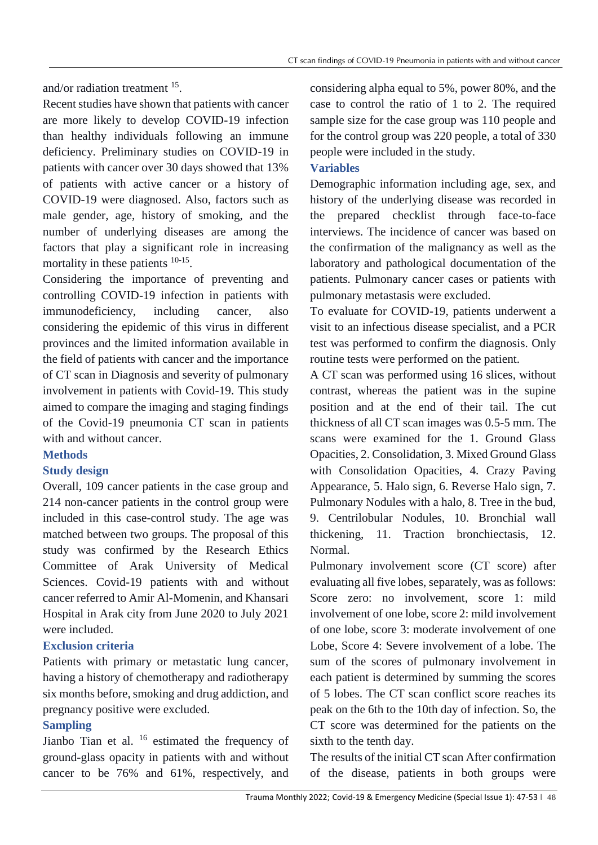and/or radiation treatment <sup>15</sup>.

Recent studies have shown that patients with cancer are more likely to develop COVID-19 infection than healthy individuals following an immune deficiency. Preliminary studies on COVID-19 in patients with cancer over 30 days showed that 13% of patients with active cancer or a history of COVID-19 were diagnosed. Also, factors such as male gender, age, history of smoking, and the number of underlying diseases are among the factors that play a significant role in increasing mortality in these patients  $10-15$ .

Considering the importance of preventing and controlling COVID-19 infection in patients with immunodeficiency, including cancer, also considering the epidemic of this virus in different provinces and the limited information available in the field of patients with cancer and the importance of CT scan in Diagnosis and severity of pulmonary involvement in patients with Covid-19. This study aimed to compare the imaging and staging findings of the Covid-19 pneumonia CT scan in patients with and without cancer.

# **Methods**

# **Study design**

Overall, 109 cancer patients in the case group and 214 non-cancer patients in the control group were included in this case-control study. The age was matched between two groups. The proposal of this study was confirmed by the Research Ethics Committee of Arak University of Medical Sciences. Covid-19 patients with and without cancer referred to Amir Al-Momenin, and Khansari Hospital in Arak city from June 2020 to July 2021 were included.

# **Exclusion criteria**

Patients with primary or metastatic lung cancer, having a history of chemotherapy and radiotherapy six months before, smoking and drug addiction, and pregnancy positive were excluded.

# **Sampling**

Jianbo Tian et al.  $^{16}$  estimated the frequency of ground-glass opacity in patients with and without cancer to be 76% and 61%, respectively, and

considering alpha equal to 5%, power 80%, and the case to control the ratio of 1 to 2. The required sample size for the case group was 110 people and for the control group was 220 people, a total of 330 people were included in the study.

# **Variables**

Demographic information including age, sex, and history of the underlying disease was recorded in the prepared checklist through face-to-face interviews. The incidence of cancer was based on the confirmation of the malignancy as well as the laboratory and pathological documentation of the patients. Pulmonary cancer cases or patients with pulmonary metastasis were excluded.

To evaluate for COVID-19, patients underwent a visit to an infectious disease specialist, and a PCR test was performed to confirm the diagnosis. Only routine tests were performed on the patient.

A CT scan was performed using 16 slices, without contrast, whereas the patient was in the supine position and at the end of their tail. The cut thickness of all CT scan images was 0.5-5 mm. The scans were examined for the 1. Ground Glass Opacities, 2. Consolidation, 3. Mixed Ground Glass with Consolidation Opacities, 4. Crazy Paving Appearance, 5. Halo sign, 6. Reverse Halo sign, 7. Pulmonary Nodules with a halo, 8. Tree in the bud, 9. Centrilobular Nodules, 10. Bronchial wall thickening, 11. Traction bronchiectasis, 12. Normal.

Pulmonary involvement score (CT score) after evaluating all five lobes, separately, was as follows: Score zero: no involvement, score 1: mild involvement of one lobe, score 2: mild involvement of one lobe, score 3: moderate involvement of one Lobe, Score 4: Severe involvement of a lobe. The sum of the scores of pulmonary involvement in each patient is determined by summing the scores of 5 lobes. The CT scan conflict score reaches its peak on the 6th to the 10th day of infection. So, the CT score was determined for the patients on the sixth to the tenth day.

The results of the initial CT scan After confirmation of the disease, patients in both groups were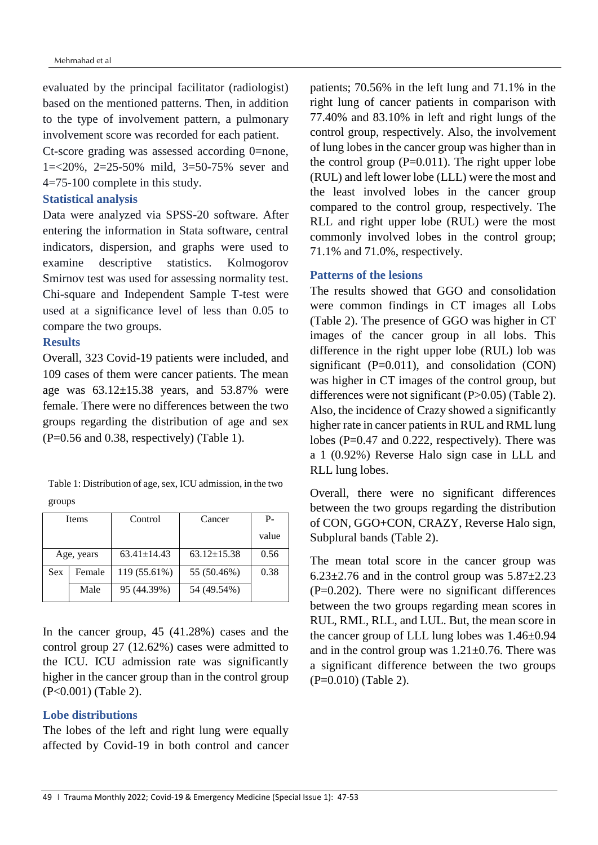evaluated by the principal facilitator (radiologist) based on the mentioned patterns. Then, in addition to the type of involvement pattern, a pulmonary involvement score was recorded for each patient.

Ct-score grading was assessed according 0=none, 1=<20%, 2=25-50% mild, 3=50-75% sever and 4=75-100 complete in this study.

## **Statistical analysis**

Data were analyzed via SPSS-20 software. After entering the information in Stata software, central indicators, dispersion, and graphs were used to examine descriptive statistics. Kolmogorov Smirnov test was used for assessing normality test. Chi-square and Independent Sample T-test were used at a significance level of less than 0.05 to compare the two groups.

## **Results**

Overall, 323 Covid-19 patients were included, and 109 cases of them were cancer patients. The mean age was  $63.12 \pm 15.38$  years, and  $53.87\%$  were female. There were no differences between the two groups regarding the distribution of age and sex (P=0.56 and 0.38, respectively) (Table 1).

| Table 1: Distribution of age, sex, ICU admission, in the two |  |
|--------------------------------------------------------------|--|
| groups                                                       |  |

| Items      |        | Control           | Cancer            | P-    |
|------------|--------|-------------------|-------------------|-------|
|            |        |                   |                   | value |
| Age, years |        | $63.41 \pm 14.43$ | $63.12 \pm 15.38$ | 0.56  |
| Sex        | Female | 119 (55.61%)      | 55 (50.46%)       | 0.38  |
|            | Male   | 95 (44.39%)       | 54 (49.54%)       |       |

In the cancer group, 45 (41.28%) cases and the control group 27 (12.62%) cases were admitted to the ICU. ICU admission rate was significantly higher in the cancer group than in the control group (P<0.001) (Table 2).

# **Lobe distributions**

The lobes of the left and right lung were equally affected by Covid-19 in both control and cancer patients; 70.56% in the left lung and 71.1% in the right lung of cancer patients in comparison with 77.40% and 83.10% in left and right lungs of the control group, respectively. Also, the involvement of lung lobes in the cancer group was higher than in the control group  $(P=0.011)$ . The right upper lobe (RUL) and left lower lobe (LLL) were the most and the least involved lobes in the cancer group compared to the control group, respectively. The RLL and right upper lobe (RUL) were the most commonly involved lobes in the control group; 71.1% and 71.0%, respectively.

# **Patterns of the lesions**

The results showed that GGO and consolidation were common findings in CT images all Lobs (Table 2). The presence of GGO was higher in CT images of the cancer group in all lobs. This difference in the right upper lobe (RUL) lob was significant  $(P=0.011)$ , and consolidation  $(CON)$ was higher in CT images of the control group, but differences were not significant (P>0.05) (Table 2). Also, the incidence of Crazy showed a significantly higher rate in cancer patients in RUL and RML lung lobes (P=0.47 and 0.222, respectively). There was a 1 (0.92%) Reverse Halo sign case in LLL and RLL lung lobes.

Overall, there were no significant differences between the two groups regarding the distribution of CON, GGO+CON, CRAZY, Reverse Halo sign, Subplural bands (Table 2).

The mean total score in the cancer group was  $6.23\pm2.76$  and in the control group was  $5.87\pm2.23$  $(P=0.202)$ . There were no significant differences between the two groups regarding mean scores in RUL, RML, RLL, and LUL. But, the mean score in the cancer group of LLL lung lobes was 1.46±0.94 and in the control group was  $1.21 \pm 0.76$ . There was a significant difference between the two groups (P=0.010) (Table 2).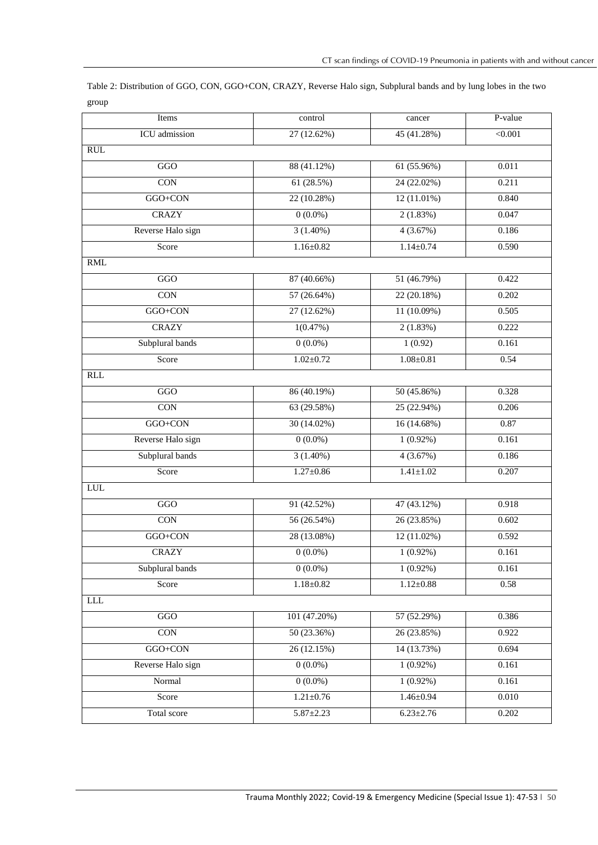| Table 2: Distribution of GGO, CON, GGO+CON, CRAZY, Reverse Halo sign, Subplural bands and by lung lobes in the two |  |
|--------------------------------------------------------------------------------------------------------------------|--|
| group                                                                                                              |  |

| Items                | control         | cancer          | P-value        |
|----------------------|-----------------|-----------------|----------------|
| <b>ICU</b> admission | 27 (12.62%)     | 45 (41.28%)     | $\sqrt{0.001}$ |
| RUL                  |                 |                 |                |
| GGO                  | 88 (41.12%)     | 61(55.96%)      | 0.011          |
| <b>CON</b>           | 61(28.5%)       | 24 (22.02%)     | 0.211          |
| $GGO+CON$            | 22 (10.28%)     | 12(11.01%)      | 0.840          |
| <b>CRAZY</b>         | $0(0.0\%)$      | 2(1.83%)        | 0.047          |
| Reverse Halo sign    | $3(1.40\%)$     | 4(3.67%)        | 0.186          |
| Score                | $1.16 \pm 0.82$ | $1.14 \pm 0.74$ | 0.590          |
| RML                  |                 |                 |                |
| GGO                  | 87 (40.66%)     | 51 (46.79%)     | 0.422          |
| <b>CON</b>           | 57 (26.64%)     | 22 (20.18%)     | 0.202          |
| GGO+CON              | 27 (12.62%)     | 11 (10.09%)     | 0.505          |
| <b>CRAZY</b>         | 1(0.47%)        | 2(1.83%)        | 0.222          |
| Subplural bands      | $0(0.0\%)$      | 1(0.92)         | 0.161          |
| Score                | $1.02 \pm 0.72$ | $1.08 \pm 0.81$ | 0.54           |
| RLL                  |                 |                 |                |
| GGO                  | 86 (40.19%)     | 50 (45.86%)     | 0.328          |
| $\overline{CON}$     | 63 (29.58%)     | 25 (22.94%)     | 0.206          |
| GGO+CON              | $30(14.02\%)$   | 16(14.68%)      | 0.87           |
| Reverse Halo sign    | $0(0.0\%)$      | $1(0.92\%)$     | 0.161          |
| Subplural bands      | $3(1.40\%)$     | 4(3.67%)        | 0.186          |
| Score                | $1.27 \pm 0.86$ | $1.41 \pm 1.02$ | 0.207          |
| LUL                  |                 |                 |                |
| $_{\rm GGO}$         | 91 (42.52%)     | 47 (43.12%)     | 0.918          |
| $\overline{CON}$     | 56 (26.54%)     | 26 (23.85%)     | 0.602          |
| GGO+CON              | 28 (13.08%)     | $12(11.02\%)$   | 0.592          |
| <b>CRAZY</b>         | $0(0.0\%)$      | $1(0.92\%)$     | 0.161          |
| Subplural bands      | $0(0.0\%)$      | $1(0.92\%)$     | 0.161          |
| Score                | $1.18 \pm 0.82$ | $1.12 \pm 0.88$ | 0.58           |
| <b>LLL</b>           |                 |                 |                |
| $_{\rm GGO}$         | 101 (47.20%)    | 57 (52.29%)     | 0.386          |
| CON                  | 50 (23.36%)     | 26 (23.85%)     | 0.922          |
| GGO+CON              | 26(12.15%)      | 14 (13.73%)     | 0.694          |
| Reverse Halo sign    | $0(0.0\%)$      | $1(0.92\%)$     | 0.161          |
| Normal               | $0(0.0\%)$      | $1(0.92\%)$     | 0.161          |
| Score                | $1.21 \pm 0.76$ | $1.46 \pm 0.94$ | 0.010          |
| <b>Total</b> score   | $5.87 \pm 2.23$ | $6.23 \pm 2.76$ | 0.202          |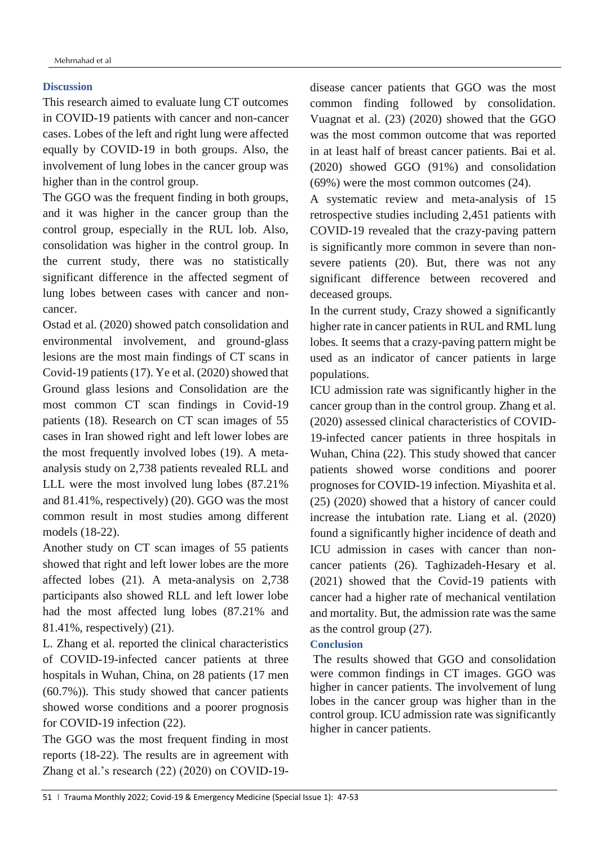## **Discussion**

This research aimed to evaluate lung CT outcomes in COVID-19 patients with cancer and non-cancer cases. Lobes of the left and right lung were affected equally by COVID-19 in both groups. Also, the involvement of lung lobes in the cancer group was higher than in the control group.

The GGO was the frequent finding in both groups, and it was higher in the cancer group than the control group, especially in the RUL lob. Also, consolidation was higher in the control group. In the current study, there was no statistically significant difference in the affected segment of lung lobes between cases with cancer and noncancer.

Ostad et al. (2020) showed patch consolidation and environmental involvement, and ground-glass lesions are the most main findings of CT scans in Covid-19 patients (17). Ye et al. (2020) showed that Ground glass lesions and Consolidation are the most common CT scan findings in Covid-19 patients (18). Research on CT scan images of 55 cases in Iran showed right and left lower lobes are the most frequently involved lobes (19). A metaanalysis study on 2,738 patients revealed RLL and LLL were the most involved lung lobes (87.21% and 81.41%, respectively) (20). GGO was the most common result in most studies among different models (18-22).

Another study on CT scan images of 55 patients showed that right and left lower lobes are the more affected lobes (21). A meta-analysis on 2,738 participants also showed RLL and left lower lobe had the most affected lung lobes (87.21% and 81.41%, respectively) (21).

L. Zhang et al. reported the clinical characteristics of COVID-19-infected cancer patients at three hospitals in Wuhan, China, on 28 patients (17 men (60.7%)). This study showed that cancer patients showed worse conditions and a poorer prognosis for COVID-19 infection (22).

The GGO was the most frequent finding in most reports (18-22). The results are in agreement with Zhang et al.'s research (22) (2020) on COVID-19disease cancer patients that GGO was the most common finding followed by consolidation. Vuagnat et al. (23) (2020) showed that the GGO was the most common outcome that was reported in at least half of breast cancer patients. Bai et al. (2020) showed GGO (91%) and consolidation (69%) were the most common outcomes (24).

A systematic review and meta-analysis of 15 retrospective studies including 2,451 patients with COVID-19 revealed that the crazy-paving pattern is significantly more common in severe than nonsevere patients (20). But, there was not any significant difference between recovered and deceased groups.

In the current study, Crazy showed a significantly higher rate in cancer patients in RUL and RML lung lobes. It seems that a crazy-paving pattern might be used as an indicator of cancer patients in large populations.

ICU admission rate was significantly higher in the cancer group than in the control group. Zhang et al. (2020) assessed clinical characteristics of COVID-19-infected cancer patients in three hospitals in Wuhan, China (22). This study showed that cancer patients showed worse conditions and poorer prognoses for COVID-19 infection. Miyashita et al. (25) (2020) showed that a history of cancer could increase the intubation rate. Liang et al. (2020) found a significantly higher incidence of death and ICU admission in cases with cancer than noncancer patients (26). Taghizadeh-Hesary et al. (2021) showed that the Covid-19 patients with cancer had a higher rate of mechanical ventilation and mortality. But, the admission rate was the same as the control group (27).

## **Conclusion**

The results showed that GGO and consolidation were common findings in CT images. GGO was higher in cancer patients. The involvement of lung lobes in the cancer group was higher than in the control group. ICU admission rate was significantly higher in cancer patients.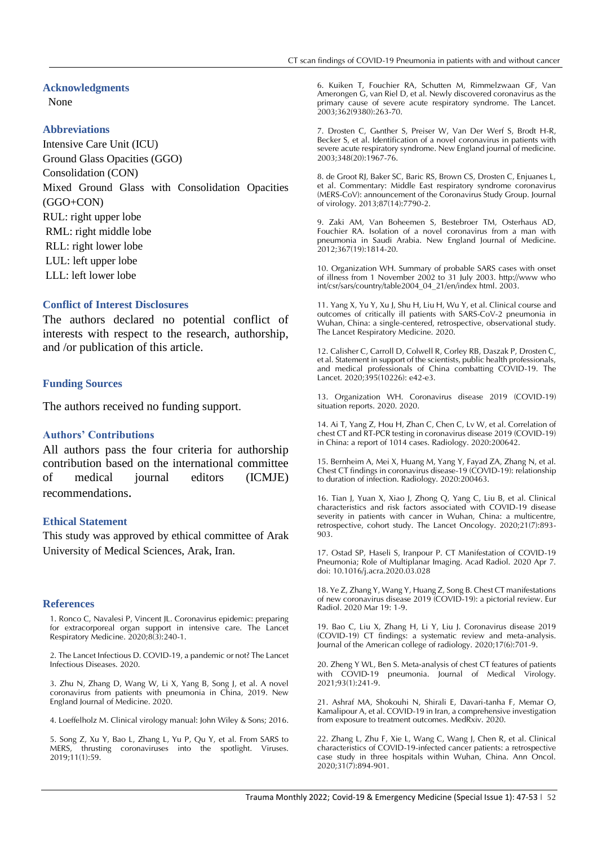#### **Acknowledgments**

None

#### **Abbreviations**

Intensive Care Unit (ICU) Ground Glass Opacities (GGO) Consolidation (CON) Mixed Ground Glass with Consolidation Opacities (GGO+CON) RUL: right upper lobe RML: right middle lobe RLL: right lower lobe LUL: left upper lobe LLL: left lower lobe

#### **Conflict of Interest Disclosures**

The authors declared no potential conflict of interests with respect to the research, authorship, and /or publication of this article.

#### **Funding Sources**

The authors received no funding support.

### **Authors' Contributions**

All authors pass the four criteria for authorship contribution based on the international committee of medical journal editors (ICMJE) recommendations.

#### **Ethical Statement**

This study was approved by ethical committee of Arak University of Medical Sciences, Arak, Iran.

#### **References**

1. Ronco C, Navalesi P, Vincent JL. Coronavirus epidemic: preparing for extracorporeal organ support in intensive care. The Lancet Respiratory Medicine. 2020;8(3):240-1.

2. The Lancet Infectious D. COVID-19, a pandemic or not? The Lancet Infectious Diseases. 2020.

3. Zhu N, Zhang D, Wang W, Li X, Yang B, Song J, et al. A novel coronavirus from patients with pneumonia in China, 2019. New England Journal of Medicine. 2020.

4. Loeffelholz M. Clinical virology manual: John Wiley & Sons; 2016.

5. Song Z, Xu Y, Bao L, Zhang L, Yu P, Qu Y, et al. From SARS to MERS, thrusting coronaviruses into the spotlight. Viruses. 2019;11(1):59.

6. Kuiken T, Fouchier RA, Schutten M, Rimmelzwaan GF, Van Amerongen G, van Riel D, et al. Newly discovered coronavirus as the primary cause of severe acute respiratory syndrome. The Lancet. 2003;362(9380):263-70.

7. Drosten C, Günther S, Preiser W, Van Der Werf S, Brodt H-R, Becker S, et al. Identification of a novel coronavirus in patients with severe acute respiratory syndrome. New England journal of medicine. 2003;348(20):1967-76.

8. de Groot RJ, Baker SC, Baric RS, Brown CS, Drosten C, Enjuanes L, et al. Commentary: Middle East respiratory syndrome coronavirus (MERS-CoV): announcement of the Coronavirus Study Group. Journal of virology. 2013;87(14):7790-2.

9. Zaki AM, Van Boheemen S, Bestebroer TM, Osterhaus AD, Fouchier RA. Isolation of a novel coronavirus from a man with pneumonia in Saudi Arabia. New England Journal of Medicine. 2012;367(19):1814-20.

10. Organization WH. Summary of probable SARS cases with onset of illness from 1 November 2002 to 31 July 2003. http://www who int/csr/sars/country/table2004\_04\_21/en/index html. 2003.

11. Yang X, Yu Y, Xu J, Shu H, Liu H, Wu Y, et al. Clinical course and outcomes of critically ill patients with SARS-CoV-2 pneumonia in Wuhan, China: a single-centered, retrospective, observational study. The Lancet Respiratory Medicine. 2020.

12. Calisher C, Carroll D, Colwell R, Corley RB, Daszak P, Drosten C, et al. Statement in support of the scientists, public health professionals, and medical professionals of China combatting COVID-19. The Lancet. 2020;395(10226): e42-e3.

13. Organization WH. Coronavirus disease 2019 (COVID-19) situation reports. 2020. 2020.

14. Ai T, Yang Z, Hou H, Zhan C, Chen C, Lv W, et al. Correlation of chest CT and RT-PCR testing in coronavirus disease 2019 (COVID-19) in China: a report of 1014 cases. Radiology. 2020:200642.

15. Bernheim A, Mei X, Huang M, Yang Y, Fayad ZA, Zhang N, et al. Chest CT findings in coronavirus disease-19 (COVID-19): relationship to duration of infection. Radiology. 2020:200463.

16. Tian J, Yuan X, Xiao J, Zhong Q, Yang C, Liu B, et al. Clinical characteristics and risk factors associated with COVID-19 disease severity in patients with cancer in Wuhan, China: a multicentre, retrospective, cohort study. The Lancet Oncology. 2020;21(7):893- 903.

17. Ostad SP, Haseli S, Iranpour P. CT Manifestation of COVID-19 Pneumonia; Role of Multiplanar Imaging. Acad Radiol. 2020 Apr 7. doi: 10.1016/j.acra.2020.03.028

18. Ye Z, Zhang Y, Wang Y, Huang Z, Song B. Chest CT manifestations of new coronavirus disease 2019 (COVID-19): a pictorial review. Eur Radiol. 2020 Mar 19: 1-9.

19. Bao C, Liu X, Zhang H, Li Y, Liu J. Coronavirus disease 2019 (COVID-19) CT findings: a systematic review and meta-analysis. Journal of the American college of radiology. 2020;17(6):701-9.

20. Zheng Y WL, Ben S. Meta‐analysis of chest CT features of patients with COVID‐19 pneumonia. Journal of Medical Virology. 2021;93(1):241-9.

21. Ashraf MA, Shokouhi N, Shirali E, Davari-tanha F, Memar O, Kamalipour A, et al. COVID-19 in Iran, a comprehensive investigation from exposure to treatment outcomes. MedRxiv. 2020.

22. Zhang L, Zhu F, Xie L, Wang C, Wang J, Chen R, et al. Clinical characteristics of COVID-19-infected cancer patients: a retrospective case study in three hospitals within Wuhan, China. Ann Oncol. 2020;31(7):894-901.